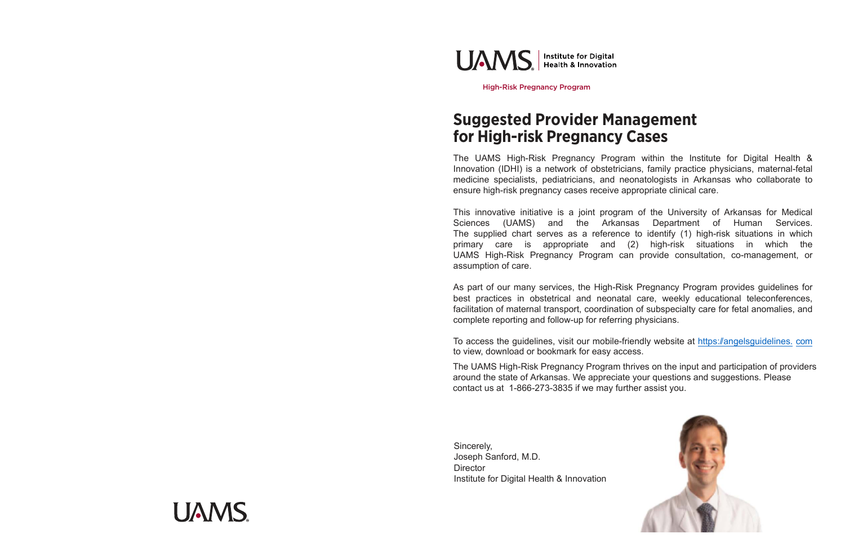## **Suggested Provider Management for High-risk Pregnancy Cases**

The UAMS High-Risk Pregnancy Program within the Institute for Digital Health & Innovation (IDHI) is a network of obstetricians, family practice physicians, maternal-fetal medicine specialists, pediatricians, and neonatologists in Arkansas who collaborate to ensure high-risk pregnancy cases receive appropriate clinical care.

This innovative initiative is a joint program of the University of Arkansas for Medical Sciences (UAMS) and the Arkansas Department of Human Services. The supplied chart serves as a reference to identify (1) high-risk situations in which primary care is appropriate and (2) high-risk situations in which the UAMS High-Risk Pregnancy Program can provide consultation, co-management, or assumption of care.

As part of our many services, the High-Risk Pregnancy Program provides guidelines for best practices in obstetrical and neonatal care, weekly educational teleconferences, facilitation of maternal transport, coordination of subspecialty care for fetal anomalies, and complete reporting and follow-up for referring physicians.

To access the guidelines, visit our mobile-friendly website at [https://angelsguidelines.](https://angelsguidelines.com) [com](https://angelsguidelines.com) to view, download or bookmark for easy access.

The UAMS High-Risk Pregnancy Program thrives on the input and participation of providers around the state of Arkansas. We appreciate your questions and suggestions. Please contact us at 1-866-273-3835 if we may further assist you.

Sincerely, Joseph Sanford, M.D. **Director** Institute for Digital Health & Innovation







High-Risk Pregnancy Program